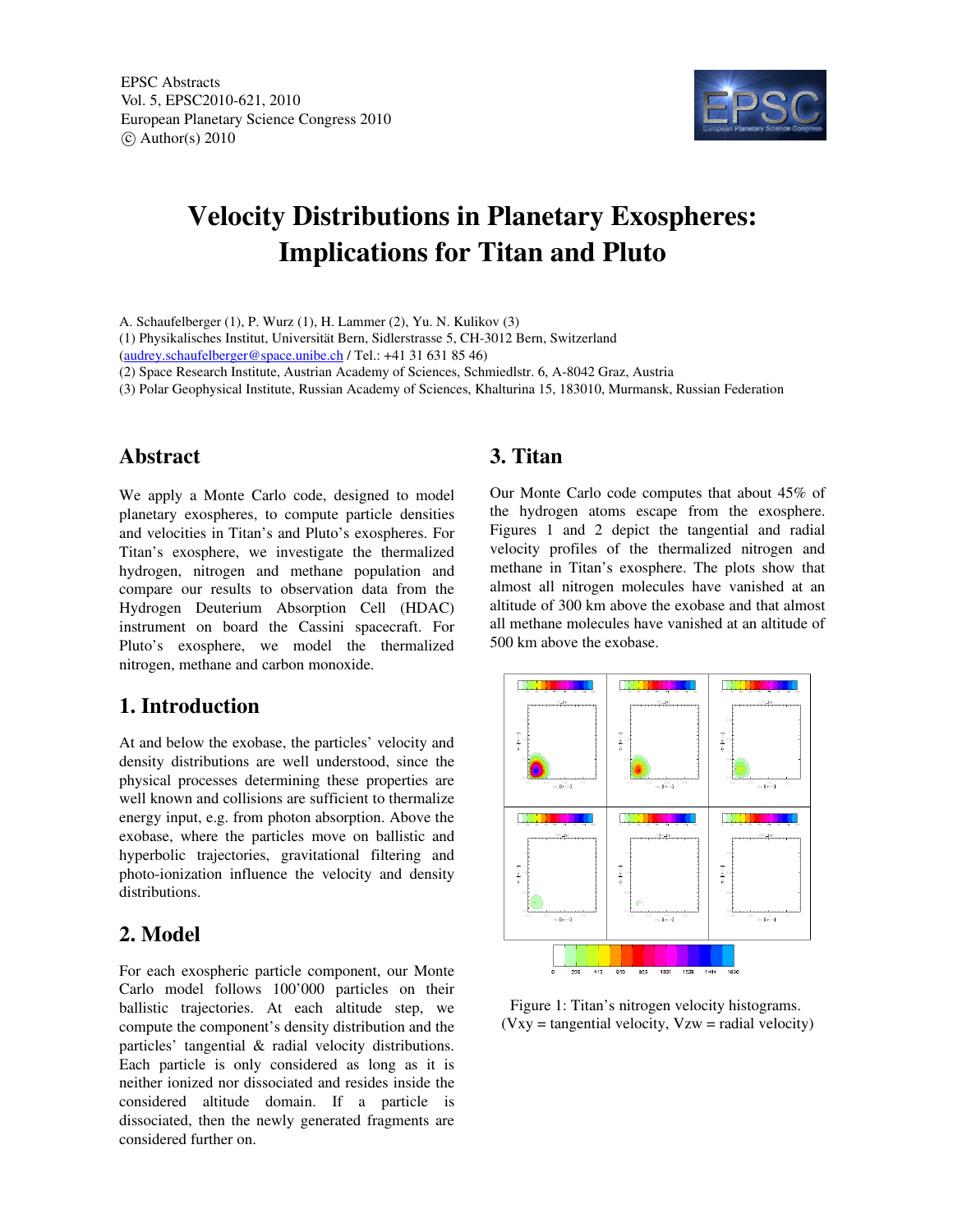

# Velocity Distributions in Planetary Exospheres: Implications for Titan and Pluto

A. Schaufelberger (1), P. Wurz (1), H. Lammer (2), Yu. N. Kulikov (3)

(1) Physikalisches Institut, Universität Bern, Sidlerstrasse 5, CH3012 Bern, Switzerland

(audrey.schaufelberger@space.unibe.ch / Tel.: +41 31 631 85 46)

(2) Space Research Institute, Austrian Academy of Sciences, Schmiedlstr. 6, A-8042 Graz, Austria

(3) Polar Geophysical Institute, Russian Academy of Sciences, Khalturina 15, 183010, Murmansk, Russian Federation

# Abstract

We apply a Monte Carlo code, designed to model planetary exospheres, to compute particle densities and velocities in Titan's and Pluto's exospheres. For Titan's exosphere, we investigate the thermalized hydrogen, nitrogen and methane population and compare our results to observation data from the Hydrogen Deuterium Absorption Cell (HDAC) instrument on board the Cassini spacecraft. For Pluto's exosphere, we model the thermalized nitrogen, methane and carbon monoxide.

# 1. Introduction

At and below the exobase, the particles' velocity and density distributions are well understood, since the physical processes determining these properties are well known and collisions are sufficient to thermalize energy input, e.g. from photon absorption. Above the exobase, where the particles move on ballistic and hyperbolic trajectories, gravitational filtering and photo-ionization influence the velocity and density distributions.

# 2. Model

For each exospheric particle component, our Monte Carlo model follows 100'000 particles on their ballistic trajectories. At each altitude step, we compute the component's density distribution and the particles' tangential & radial velocity distributions. Each particle is only considered as long as it is neither ionized nor dissociated and resides inside the considered altitude domain. If a particle is dissociated, then the newly generated fragments are considered further on.

# 3. Titan

Our Monte Carlo code computes that about 45% of the hydrogen atoms escape from the exosphere. Figures 1 and 2 depict the tangential and radial velocity profiles of the thermalized nitrogen and methane in Titan's exosphere. The plots show that almost all nitrogen molecules have vanished at an altitude of 300 km above the exobase and that almost all methane molecules have vanished at an altitude of 500 km above the exobase.



Figure 1: Titan's nitrogen velocity histograms.  $(Vxy = tangential velocity, Vzw = radial velocity)$